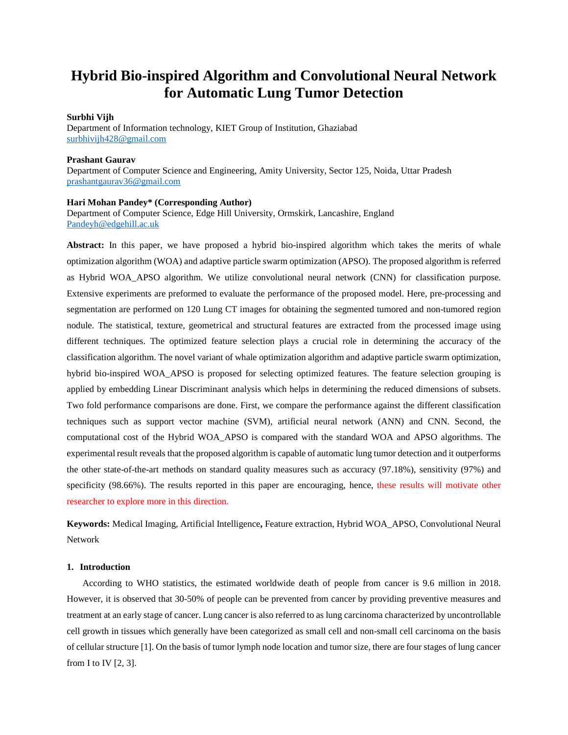# **Hybrid Bio-inspired Algorithm and Convolutional Neural Network for Automatic Lung Tumor Detection**

## **Surbhi Vijh**

Department of Information technology, KIET Group of Institution, Ghaziabad [surbhivijh428@gmail.com](mailto:surbhivijh428@gmail.com)

# **Prashant Gaurav**

Department of Computer Science and Engineering, Amity University, Sector 125, Noida, Uttar Pradesh [prashantgaurav36@gmail.com](mailto:prashantgaurav36@gmail.com)

# **Hari Mohan Pandey\* (Corresponding Author)**

Department of Computer Science, Edge Hill University, Ormskirk, Lancashire, England [Pandeyh@edgehill.ac.uk](mailto:Pandeyh@edgehill.ac.uk)

**Abstract:** In this paper, we have proposed a hybrid bio-inspired algorithm which takes the merits of whale optimization algorithm (WOA) and adaptive particle swarm optimization (APSO). The proposed algorithm is referred as Hybrid WOA\_APSO algorithm. We utilize convolutional neural network (CNN) for classification purpose. Extensive experiments are preformed to evaluate the performance of the proposed model. Here, pre-processing and segmentation are performed on 120 Lung CT images for obtaining the segmented tumored and non-tumored region nodule. The statistical, texture, geometrical and structural features are extracted from the processed image using different techniques. The optimized feature selection plays a crucial role in determining the accuracy of the classification algorithm. The novel variant of whale optimization algorithm and adaptive particle swarm optimization, hybrid bio-inspired WOA\_APSO is proposed for selecting optimized features. The feature selection grouping is applied by embedding Linear Discriminant analysis which helps in determining the reduced dimensions of subsets. Two fold performance comparisons are done. First, we compare the performance against the different classification techniques such as support vector machine (SVM), artificial neural network (ANN) and CNN. Second, the computational cost of the Hybrid WOA\_APSO is compared with the standard WOA and APSO algorithms. The experimental result reveals that the proposed algorithm is capable of automatic lung tumor detection and it outperforms the other state-of-the-art methods on standard quality measures such as accuracy (97.18%), sensitivity (97%) and specificity (98.66%). The results reported in this paper are encouraging, hence, these results will motivate other researcher to explore more in this direction.

**Keywords:** Medical Imaging, Artificial Intelligence**,** Feature extraction, Hybrid WOA\_APSO, Convolutional Neural Network

# **1. Introduction**

According to WHO statistics, the estimated worldwide death of people from cancer is 9.6 million in 2018. However, it is observed that 30-50% of people can be prevented from cancer by providing preventive measures and treatment at an early stage of cancer. Lung cancer is also referred to as lung carcinoma characterized by uncontrollable cell growth in tissues which generally have been categorized as small cell and non-small cell carcinoma on the basis of cellular structure [1]. On the basis of tumor lymph node location and tumor size, there are four stages of lung cancer from I to IV  $[2, 3]$ .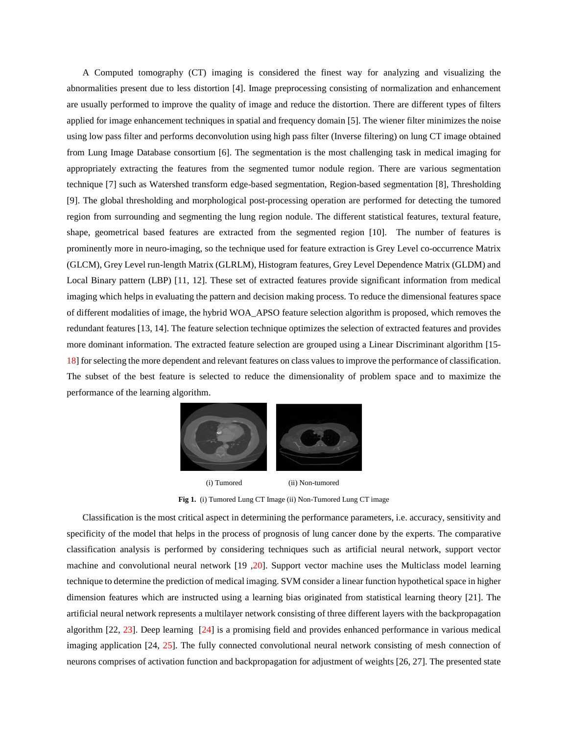A Computed tomography (CT) imaging is considered the finest way for analyzing and visualizing the abnormalities present due to less distortion [4]. Image preprocessing consisting of normalization and enhancement are usually performed to improve the quality of image and reduce the distortion. There are different types of filters applied for image enhancement techniques in spatial and frequency domain [5]. The wiener filter minimizes the noise using low pass filter and performs deconvolution using high pass filter (Inverse filtering) on lung CT image obtained from Lung Image Database consortium [6]. The segmentation is the most challenging task in medical imaging for appropriately extracting the features from the segmented tumor nodule region. There are various segmentation technique [7] such as Watershed transform edge-based segmentation, Region-based segmentation [8], Thresholding [9]. The global thresholding and morphological post-processing operation are performed for detecting the tumored region from surrounding and segmenting the lung region nodule. The different statistical features, textural feature, shape, geometrical based features are extracted from the segmented region [10]. The number of features is prominently more in neuro-imaging, so the technique used for feature extraction is Grey Level co-occurrence Matrix (GLCM), Grey Level run-length Matrix (GLRLM), Histogram features, Grey Level Dependence Matrix (GLDM) and Local Binary pattern (LBP) [11, 12]. These set of extracted features provide significant information from medical imaging which helps in evaluating the pattern and decision making process. To reduce the dimensional features space of different modalities of image, the hybrid WOA\_APSO feature selection algorithm is proposed, which removes the redundant features [13, 14]. The feature selection technique optimizes the selection of extracted features and provides more dominant information. The extracted feature selection are grouped using a Linear Discriminant algorithm [15- 18] for selecting the more dependent and relevant features on class values to improve the performance of classification. The subset of the best feature is selected to reduce the dimensionality of problem space and to maximize the performance of the learning algorithm.



 (i) Tumored (ii) Non-tumored **Fig 1.** (i) Tumored Lung CT Image (ii) Non-Tumored Lung CT image

Classification is the most critical aspect in determining the performance parameters, i.e. accuracy, sensitivity and specificity of the model that helps in the process of prognosis of lung cancer done by the experts. The comparative classification analysis is performed by considering techniques such as artificial neural network, support vector machine and convolutional neural network [19 ,20]. Support vector machine uses the Multiclass model learning technique to determine the prediction of medical imaging. SVM consider a linear function hypothetical space in higher dimension features which are instructed using a learning bias originated from statistical learning theory [21]. The artificial neural network represents a multilayer network consisting of three different layers with the backpropagation algorithm [22, 23]. Deep learning [24] is a promising field and provides enhanced performance in various medical imaging application [24, 25]. The fully connected convolutional neural network consisting of mesh connection of neurons comprises of activation function and backpropagation for adjustment of weights [26, 27]. The presented state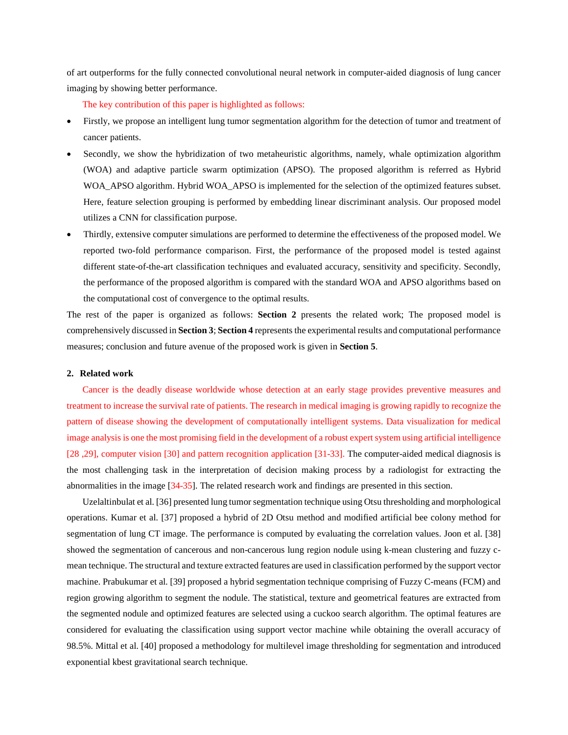of art outperforms for the fully connected convolutional neural network in computer-aided diagnosis of lung cancer imaging by showing better performance.

The key contribution of this paper is highlighted as follows:

- Firstly, we propose an intelligent lung tumor segmentation algorithm for the detection of tumor and treatment of cancer patients.
- Secondly, we show the hybridization of two metaheuristic algorithms, namely, whale optimization algorithm (WOA) and adaptive particle swarm optimization (APSO). The proposed algorithm is referred as Hybrid WOA APSO algorithm. Hybrid WOA APSO is implemented for the selection of the optimized features subset. Here, feature selection grouping is performed by embedding linear discriminant analysis. Our proposed model utilizes a CNN for classification purpose.
- Thirdly, extensive computer simulations are performed to determine the effectiveness of the proposed model. We reported two-fold performance comparison. First, the performance of the proposed model is tested against different state-of-the-art classification techniques and evaluated accuracy, sensitivity and specificity. Secondly, the performance of the proposed algorithm is compared with the standard WOA and APSO algorithms based on the computational cost of convergence to the optimal results.

The rest of the paper is organized as follows: **Section 2** presents the related work; The proposed model is comprehensively discussed in **Section 3**; **Section 4** represents the experimental results and computational performance measures; conclusion and future avenue of the proposed work is given in **Section 5**.

# **2. Related work**

Cancer is the deadly disease worldwide whose detection at an early stage provides preventive measures and treatment to increase the survival rate of patients. The research in medical imaging is growing rapidly to recognize the pattern of disease showing the development of computationally intelligent systems. Data visualization for medical image analysis is one the most promising field in the development of a robust expert system using artificial intelligence [28 ,29], computer vision [30] and pattern recognition application [31-33]. The computer-aided medical diagnosis is the most challenging task in the interpretation of decision making process by a radiologist for extracting the abnormalities in the image [34-35]. The related research work and findings are presented in this section.

Uzelaltinbulat et al. [36] presented lung tumor segmentation technique using Otsu thresholding and morphological operations. Kumar et al. [37] proposed a hybrid of 2D Otsu method and modified artificial bee colony method for segmentation of lung CT image. The performance is computed by evaluating the correlation values. Joon et al. [38] showed the segmentation of cancerous and non-cancerous lung region nodule using k-mean clustering and fuzzy cmean technique. The structural and texture extracted features are used in classification performed by the support vector machine. Prabukumar et al. [39] proposed a hybrid segmentation technique comprising of Fuzzy C-means (FCM) and region growing algorithm to segment the nodule. The statistical, texture and geometrical features are extracted from the segmented nodule and optimized features are selected using a cuckoo search algorithm. The optimal features are considered for evaluating the classification using support vector machine while obtaining the overall accuracy of 98.5%. Mittal et al. [40] proposed a methodology for multilevel image thresholding for segmentation and introduced exponential kbest gravitational search technique.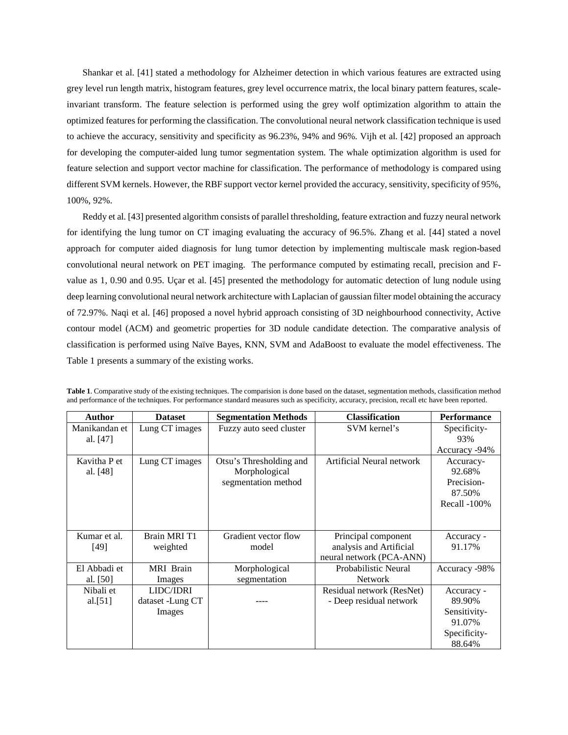Shankar et al. [41] stated a methodology for Alzheimer detection in which various features are extracted using grey level run length matrix, histogram features, grey level occurrence matrix, the local binary pattern features, scaleinvariant transform. The feature selection is performed using the grey wolf optimization algorithm to attain the optimized features for performing the classification. The convolutional neural network classification technique is used to achieve the accuracy, sensitivity and specificity as 96.23%, 94% and 96%. Vijh et al. [42] proposed an approach for developing the computer-aided lung tumor segmentation system. The whale optimization algorithm is used for feature selection and support vector machine for classification. The performance of methodology is compared using different SVM kernels. However, the RBF support vector kernel provided the accuracy, sensitivity, specificity of 95%, 100%, 92%.

Reddy et al. [43] presented algorithm consists of parallel thresholding, feature extraction and fuzzy neural network for identifying the lung tumor on CT imaging evaluating the accuracy of 96.5%. Zhang et al. [44] stated a novel approach for computer aided diagnosis for lung tumor detection by implementing multiscale mask region-based convolutional neural network on PET imaging. The performance computed by estimating recall, precision and Fvalue as 1, 0.90 and 0.95. Uçar et al. [45] presented the methodology for automatic detection of lung nodule using deep learning convolutional neural network architecture with Laplacian of gaussian filter model obtaining the accuracy of 72.97%. Naqi et al. [46] proposed a novel hybrid approach consisting of 3D neighbourhood connectivity, Active contour model (ACM) and geometric properties for 3D nodule candidate detection. The comparative analysis of classification is performed using Naïve Bayes, KNN, SVM and AdaBoost to evaluate the model effectiveness. The Table 1 presents a summary of the existing works.

| Author        | <b>Dataset</b>      | <b>Segmentation Methods</b> | <b>Classification</b>     | <b>Performance</b> |
|---------------|---------------------|-----------------------------|---------------------------|--------------------|
| Manikandan et | Lung CT images      | Fuzzy auto seed cluster     | SVM kernel's              | Specificity-       |
| al. $[47]$    |                     |                             |                           | 93%                |
|               |                     |                             |                           | Accuracy -94%      |
| Kavitha P et  | Lung CT images      | Otsu's Thresholding and     | Artificial Neural network | Accuracy-          |
| al. [48]      |                     | Morphological               |                           | 92.68%             |
|               |                     | segmentation method         |                           | Precision-         |
|               |                     |                             |                           | 87.50%             |
|               |                     |                             |                           | Recall -100%       |
|               |                     |                             |                           |                    |
|               |                     |                             |                           |                    |
| Kumar et al.  | <b>Brain MRI T1</b> | Gradient vector flow        | Principal component       | Accuracy -         |
| $[49]$        | weighted            | model                       | analysis and Artificial   | 91.17%             |
|               |                     |                             | neural network (PCA-ANN)  |                    |
| El Abbadi et  | <b>MRI</b> Brain    | Morphological               | Probabilistic Neural      | Accuracy -98%      |
| al. [50]      | Images              | segmentation                | Network                   |                    |
| Nibali et     | LIDC/IDRI           |                             | Residual network (ResNet) | Accuracy -         |
| al. $[51]$    | dataset -Lung CT    |                             | - Deep residual network   | 89.90%             |
|               | Images              |                             |                           | Sensitivity-       |
|               |                     |                             |                           | 91.07%             |
|               |                     |                             |                           | Specificity-       |
|               |                     |                             |                           | 88.64%             |

**Table 1**. Comparative study of the existing techniques. The comparision is done based on the dataset, segmentation methods, classification method and performance of the techniques. For performance standard measures such as specificity, accuracy, precision, recall etc have been reported.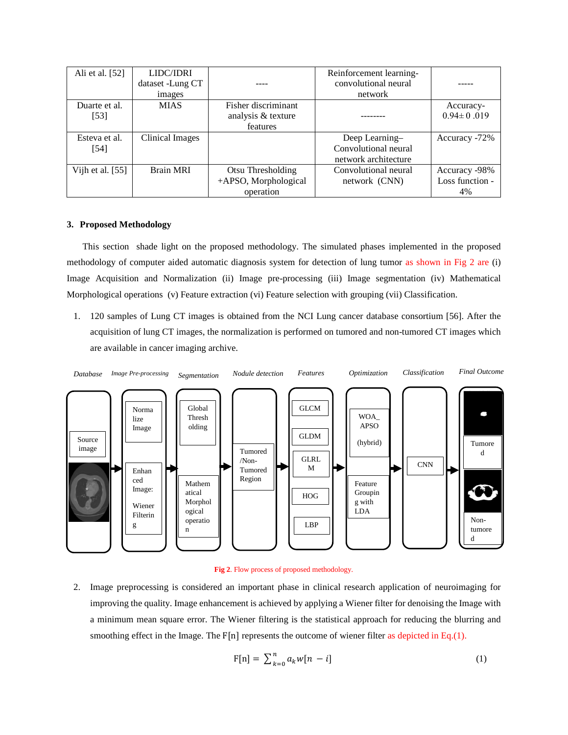| Ali et al. [52]    | LIDC/IDRI        |                      | Reinforcement learning- |                  |
|--------------------|------------------|----------------------|-------------------------|------------------|
|                    | dataset -Lung CT |                      | convolutional neural    |                  |
|                    | images           |                      | network                 |                  |
| Duarte et al.      | <b>MIAS</b>      | Fisher discriminant  |                         | Accuracy-        |
| $[53]$             |                  | analysis & texture   |                         | $0.94 \pm 0.019$ |
|                    |                  | features             |                         |                  |
| Esteva et al.      | Clinical Images  |                      | Deep Learning-          | Accuracy -72%    |
| [54]               |                  |                      | Convolutional neural    |                  |
|                    |                  |                      | network architecture    |                  |
| Vijh et al. $[55]$ | <b>Brain MRI</b> | Otsu Thresholding    | Convolutional neural    | Accuracy -98%    |
|                    |                  | +APSO, Morphological | network (CNN)           | Loss function -  |
|                    |                  | operation            |                         | 4%               |

# **3. Proposed Methodology**

This section shade light on the proposed methodology. The simulated phases implemented in the proposed methodology of computer aided automatic diagnosis system for detection of lung tumor as shown in Fig 2 are (i) Image Acquisition and Normalization (ii) Image pre-processing (iii) Image segmentation (iv) Mathematical Morphological operations (v) Feature extraction (vi) Feature selection with grouping (vii) Classification.

1. 120 samples of Lung CT images is obtained from the NCI Lung cancer database consortium [56]. After the acquisition of lung CT images, the normalization is performed on tumored and non-tumored CT images which are available in cancer imaging archive.





2. Image preprocessing is considered an important phase in clinical research application of neuroimaging for improving the quality. Image enhancement is achieved by applying a Wiener filter for denoising the Image with a minimum mean square error. The Wiener filtering is the statistical approach for reducing the blurring and smoothing effect in the Image. The  $F[n]$  represents the outcome of wiener filter as depicted in Eq.(1).

$$
F[n] = \sum_{k=0}^{n} a_k w[n-i]
$$
\n<sup>(1)</sup>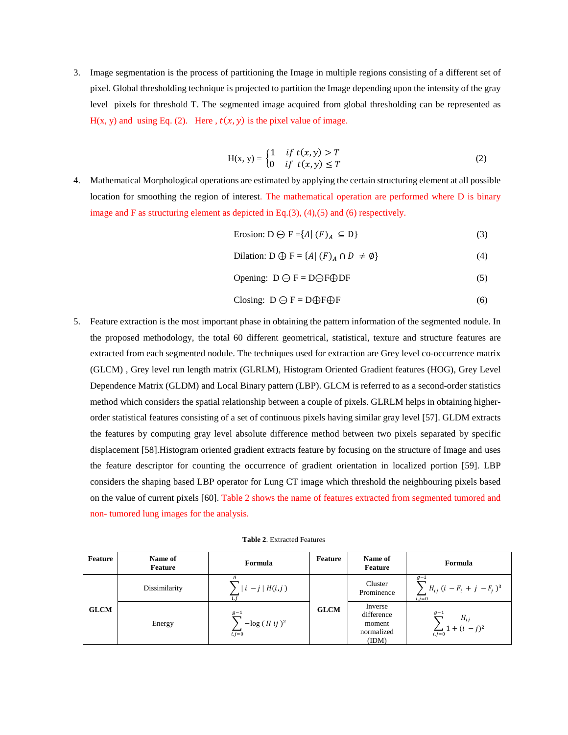3. Image segmentation is the process of partitioning the Image in multiple regions consisting of a different set of pixel. Global thresholding technique is projected to partition the Image depending upon the intensity of the gray level pixels for threshold T. The segmented image acquired from global thresholding can be represented as  $H(x, y)$  and using Eq. (2). Here ,  $t(x, y)$  is the pixel value of image.

$$
H(x, y) = \begin{cases} 1 & \text{if } t(x, y) > T \\ 0 & \text{if } t(x, y) \le T \end{cases}
$$
 (2)

- 4. Mathematical Morphological operations are estimated by applying the certain structuring element at all possible location for smoothing the region of interest. The mathematical operation are performed where D is binary image and F as structuring element as depicted in Eq.(3), (4),(5) and (6) respectively.
	- Erosion:  $D \ominus F = \{A \mid (F)_A \subseteq D\}$  (3)
	- Dilation: D  $\oplus$  F = {A| (F)<sub>A</sub>  $\cap$  D  $\neq$  Ø} (4)

$$
Opening: D \ominus F = D \ominus F \oplus DF \tag{5}
$$

$$
Closing: D \ominus F = D \oplus F \oplus F \tag{6}
$$

5. Feature extraction is the most important phase in obtaining the pattern information of the segmented nodule. In the proposed methodology, the total 60 different geometrical, statistical, texture and structure features are extracted from each segmented nodule. The techniques used for extraction are Grey level co-occurrence matrix (GLCM) , Grey level run length matrix (GLRLM), Histogram Oriented Gradient features (HOG), Grey Level Dependence Matrix (GLDM) and Local Binary pattern (LBP). GLCM is referred to as a second-order statistics method which considers the spatial relationship between a couple of pixels. GLRLM helps in obtaining higherorder statistical features consisting of a set of continuous pixels having similar gray level [57]. GLDM extracts the features by computing gray level absolute difference method between two pixels separated by specific displacement [58].Histogram oriented gradient extracts feature by focusing on the structure of Image and uses the feature descriptor for counting the occurrence of gradient orientation in localized portion [59]. LBP considers the shaping based LBP operator for Lung CT image which threshold the neighbouring pixels based on the value of current pixels [60]. Table 2 shows the name of features extracted from segmented tumored and non- tumored lung images for the analysis.

**Table 2**. Extracted Features

| Feature     | Name of<br>Feature | Formula                             | Feature     | Name of<br>Feature                                     | Formula                                                      |
|-------------|--------------------|-------------------------------------|-------------|--------------------------------------------------------|--------------------------------------------------------------|
| <b>GLCM</b> | Dissimilarity      | $ i-j H(i,j)$                       |             | Cluster<br>Prominence                                  | $g-1$<br>$H_{ij}$ $(i - F_i + j - F_j)^3$<br>$i \cdot i = 0$ |
|             | Energy             | $g-1$<br>$-\log(Hij)^2$<br>$i, j=0$ | <b>GLCM</b> | Inverse<br>difference<br>moment<br>normalized<br>(IDM) | $g-1$<br>$H_{ii}$<br>$\sum_{i,j=0}$ 1 + $(i - j)^2$          |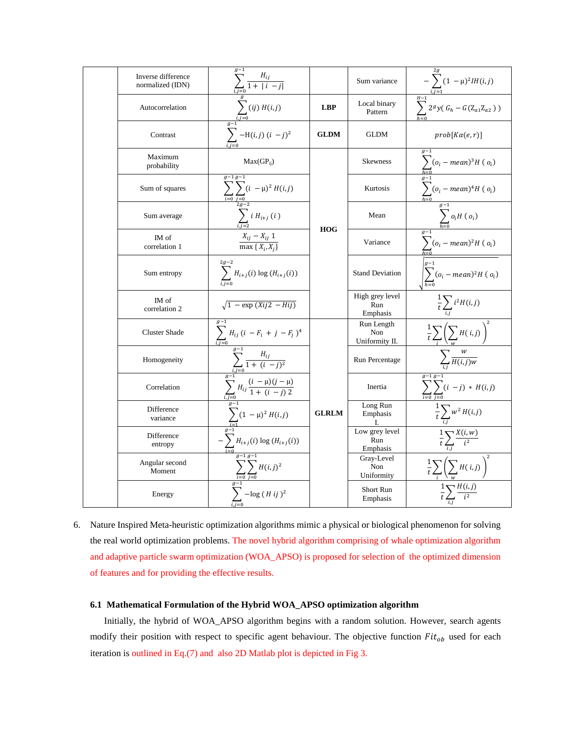| Inverse difference<br>normalized (IDN) | $\sum_{i,j=0}^{\infty} \frac{H_{ij}}{1+ i-j }$                                                                                                                                                                                                                                                                                                                                                                                                                 |              | Sum variance                        | $-\sum_{i,j=1}^{5\sigma} (1-\mu)^2 IH(i,j)$                                          |
|----------------------------------------|----------------------------------------------------------------------------------------------------------------------------------------------------------------------------------------------------------------------------------------------------------------------------------------------------------------------------------------------------------------------------------------------------------------------------------------------------------------|--------------|-------------------------------------|--------------------------------------------------------------------------------------|
| Autocorrelation                        | $\sum_{i,j=0}^g (ij) H(i,j)$                                                                                                                                                                                                                                                                                                                                                                                                                                   | <b>LBP</b>   | Local binary<br>Pattern             | $\sum_{n=1}^{\frac{L_1-1}{H-1}} 2^g y (G_h - G(Z_{a1}Z_{a2}))$                       |
| Contrast                               | $\sum_{i=1}^{\frac{a-1}{g-1}}$ -H( <i>i</i> , <i>j</i> ) ( <i>i</i> - <i>j</i> ) <sup>2</sup>                                                                                                                                                                                                                                                                                                                                                                  | <b>GLDM</b>  | <b>GLDM</b>                         | $prob[K\alpha(e,r)]$                                                                 |
| Maximum<br>probability                 | $Max(GP_{ii})$                                                                                                                                                                                                                                                                                                                                                                                                                                                 |              | <b>Skewness</b>                     |                                                                                      |
| Sum of squares                         | $\sum_{i=0}^{n} \sum_{\substack{j=0 \ 2g-2}} (i - \mu)^2 H(i,j)$                                                                                                                                                                                                                                                                                                                                                                                               |              | Kurtosis                            | $\sum_{h=0}^{s-1} (o_i - mean)^3 H(o_i)$<br>$\sum_{h=0}^{s-1} (o_i - mean)^4 H(o_i)$ |
| Sum average                            | $\sum_{i}$ i $H_{i+j}$ (i)                                                                                                                                                                                                                                                                                                                                                                                                                                     | <b>HOG</b>   | Mean                                | $\sum_{i=n}^{g-1} o_i H(o_i)$                                                        |
| IM of<br>correlation 1                 | $\frac{X_{ij} - X_{ij} 1}{\max\{X_i, X_i\}}$                                                                                                                                                                                                                                                                                                                                                                                                                   |              | Variance                            | $g-1$<br>$\sum_{h=0}^{\infty} (o_i - mean)^2 H(o_i)$                                 |
| Sum entropy                            | $2g - 2$<br>$\sum H_{i+j}(i) \log (H_{i+j}(i))$                                                                                                                                                                                                                                                                                                                                                                                                                |              | <b>Stand Deviation</b>              | $\sum_{h=0} (o_i - mean)^2 H(o_i)$                                                   |
| IM of<br>correlation 2                 | $\sqrt{1 - \exp (Xij2 - Hi)}$                                                                                                                                                                                                                                                                                                                                                                                                                                  |              | High grey level<br>Run<br>Emphasis  | $\frac{1}{t}\sum_{i} i^2 H(i,j)$                                                     |
| <b>Cluster Shade</b>                   | $\sum_{i,j=0}^{5} H_{ij} (i - F_i + j - F_j)^4$                                                                                                                                                                                                                                                                                                                                                                                                                |              | Run Length<br>Non<br>Uniformity II. | $\frac{1}{t}\sum$<br>$\sum H(i,j)$                                                   |
| Homogeneity                            |                                                                                                                                                                                                                                                                                                                                                                                                                                                                |              | Run Percentage                      | $\sum_{i} \frac{w}{H(i,j)w}$                                                         |
| Correlation                            | $\begin{array}{c} \sqrt{1 - \frac{1}{2}} \\ \frac{1}{\sqrt{1 - \frac{1}{2}}} \\ \frac{1}{\sqrt{1 - \frac{1}{2}}} \\ \frac{1}{\sqrt{1 - \frac{1}{2}}} \\ \frac{1}{\sqrt{1 - \frac{1}{2}}} \\ \frac{1}{\sqrt{1 - \frac{1}{2}}} \\ \frac{1}{\sqrt{1 - \frac{1}{2}}} \\ \frac{1}{\sqrt{1 - \frac{1}{2}}} \\ \frac{1}{\sqrt{1 - \frac{1}{2}}} \\ \frac{1}{\sqrt{1 - \frac{1}{2}}} \\ \frac{1}{\sqrt{1 - \frac{1}{2}}} \\ \frac{1}{\sqrt{1 - \frac{1}{2}}} \\ \frac$ |              | Inertia                             | $g-1 g-1$<br>$\sum_{i=0}^{n} (i-j) * H(i,j)$                                         |
| Difference<br>variance                 | $\sum_{i=1}^{\infty} (1 - \mu)^2 H(i,j)$                                                                                                                                                                                                                                                                                                                                                                                                                       | <b>GLRLM</b> | Long Run<br>Emphasis<br>I.          | $\frac{1}{t}\sum_{i,j}w^2H(i,j)$                                                     |
| Difference<br>entropy                  | $\sum_{i=0} H_{i+j}(i) \log (H_{i+j}(i))$                                                                                                                                                                                                                                                                                                                                                                                                                      |              | Low grey level<br>Run<br>Emphasis   | $\frac{1}{t}\sum_{i} \frac{X(i,w)}{i^2}$                                             |
| Angular second<br>Moment               | $\sum_{i=0}^{-y} \sum_{j=0}^{g-1} H(i,j)^2$                                                                                                                                                                                                                                                                                                                                                                                                                    |              | Gray-Level<br>Non<br>Uniformity     | $\,$ 2 $\,$<br>$\frac{1}{t}\sum_{i}\left(\sum_{j}H(i,j)\right)^{i}$                  |
| Energy                                 | $\sum_{i,j=0}^{1} -\log(H\,ij)^2$                                                                                                                                                                                                                                                                                                                                                                                                                              |              | Short Run<br>Emphasis               |                                                                                      |

6. Nature Inspired Meta-heuristic optimization algorithms mimic a physical or biological phenomenon for solving the real world optimization problems. The novel hybrid algorithm comprising of whale optimization algorithm and adaptive particle swarm optimization (WOA\_APSO) is proposed for selection of the optimized dimension of features and for providing the effective results.

# **6.1 Mathematical Formulation of the Hybrid WOA\_APSO optimization algorithm**

 Initially, the hybrid of WOA\_APSO algorithm begins with a random solution. However, search agents modify their position with respect to specific agent behaviour. The objective function  $Fit<sub>ob</sub>$  used for each iteration is outlined in Eq.(7) and also 2D Matlab plot is depicted in Fig 3.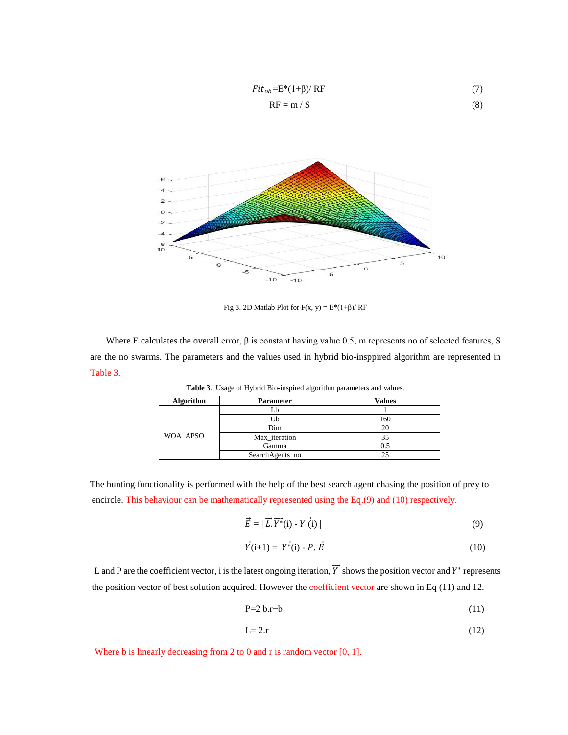$$
Fit_{ob} = E*(1+\beta)/RF
$$
 (7)

$$
RF = m / S \tag{8}
$$



Fig 3. 2D Matlab Plot for  $F(x, y) = E*(1+\beta)/RF$ 

Where E calculates the overall error,  $\beta$  is constant having value 0.5, m represents no of selected features, S are the no swarms. The parameters and the values used in hybrid bio-insppired algorithm are represented in Table 3.

| <b>Algorithm</b> | <b>Parameter</b> | <b>Values</b> |
|------------------|------------------|---------------|
|                  |                  |               |
|                  |                  | 160           |
|                  | Dim              | 20            |
| WOA_APSO         | Max_iteration    | 35            |
|                  | Gamma            |               |
|                  | SearchAgents_no  |               |

**Table 3**. Usage of Hybrid Bio-inspired algorithm parameters and values.

 The hunting functionality is performed with the help of the best search agent chasing the position of prey to encircle. This behaviour can be mathematically represented using the Eq.(9) and (10) respectively.

$$
\vec{E} = |\vec{L} \cdot \vec{Y^*}(\mathbf{i}) - \vec{Y}(\mathbf{i})| \tag{9}
$$

$$
\vec{Y}(\mathbf{i}+1) = \overrightarrow{Y^*}(\mathbf{i}) - P \cdot \vec{E}
$$
 (10)

L and P are the coefficient vector, i is the latest ongoing iteration, Y shows the position vector and  $Y^*$  represents the position vector of best solution acquired. However the coefficient vector are shown in Eq (11) and 12.

$$
P=2 b.r-b
$$
 (11)

$$
L=2.r \tag{12}
$$

Where b is linearly decreasing from 2 to 0 and r is random vector [0, 1].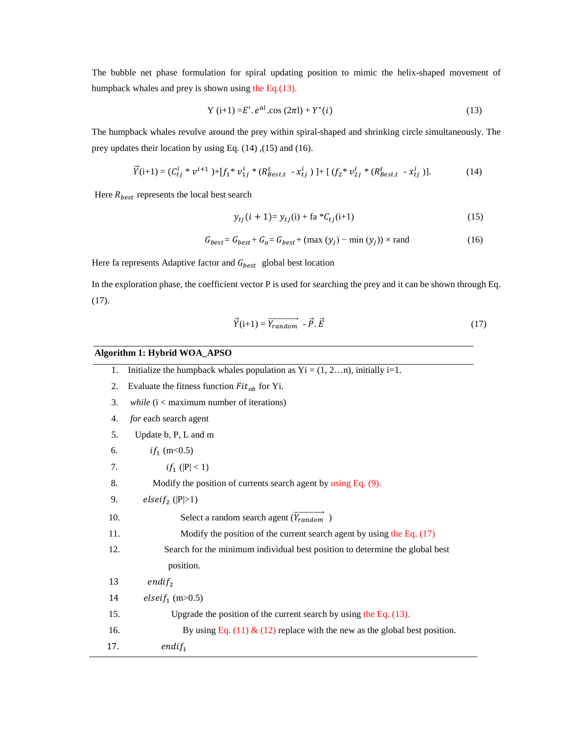The bubble net phase formulation for spiral updating position to mimic the helix-shaped movement of humpback whales and prey is shown using the Eq.(13).

$$
Y(i+1) = E'. e^{al} \cos(2\pi l) + Y^*(i)
$$
 (13)

The humpback whales revolve around the prey within spiral-shaped and shrinking circle simultaneously. The prey updates their location by using Eq. (14) ,(15) and (16).

$$
\vec{Y}(i+1) = (C_{tj}^i * v^{i+1}) + [f_1^* v_{1j}^i * (R_{Best,t}^t - x_{tj}^i)] + [(f_2^* v_{2j}^i * (R_{Best,t}^t - x_{tj}^i)].
$$
\n(14)

Here  $R_{best}$  represents the local best search

$$
y_{tj}(i + 1) = y_{tj}(i) + \text{fa} * C_{tj}(i+1)
$$
 (15)

$$
G_{best} = G_{best} + G_a = G_{best} + (\max (y_j) - \min (y_j)) \times \text{rand} \tag{16}
$$

Here fa represents Adaptive factor and  $G_{best}$  global best location

In the exploration phase, the coefficient vector P is used for searching the prey and it can be shown through Eq. (17).

$$
\vec{Y}(\mathbf{i}+1) = \vec{Y}_{random} - \vec{P} \cdot \vec{E}
$$
 (17)

# **Algorithm 1: Hybrid WOA\_APSO**

| 1.  | Initialize the humpback whales population as $Yi = (1, 2n)$ , initially i=1. |
|-----|------------------------------------------------------------------------------|
| 2.  | Evaluate the fitness function $Fitob$ for Yi.                                |
| 3.  | <i>while</i> $(i <$ maximum number of iterations)                            |
| 4.  | for each search agent                                                        |
| 5.  | Update b, P, L and m                                                         |
| 6.  | $if_1$ (m < 0.5)                                                             |
| 7.  | <i>if</i> <sub>1</sub> ( $ P $ < 1)                                          |
| 8.  | Modify the position of currents search agent by using Eq. (9).               |
| 9.  | elsei $f_2$ ( P >1)                                                          |
| 10. | Select a random search agent $(\overrightarrow{Y_{random}})$                 |
| 11. | Modify the position of the current search agent by using the Eq. $(17)$      |
| 12. | Search for the minimum individual best position to determine the global best |
|     | position.                                                                    |
| 13  | $endif_2$                                                                    |
| 14  | <i>elseif</i> <sub>1</sub> (m>0.5)                                           |
| 15. | Upgrade the position of the current search by using the Eq. $(13)$ .         |
| 16. | By using Eq. (11) & (12) replace with the new as the global best position.   |
| 17. | $endif_1$                                                                    |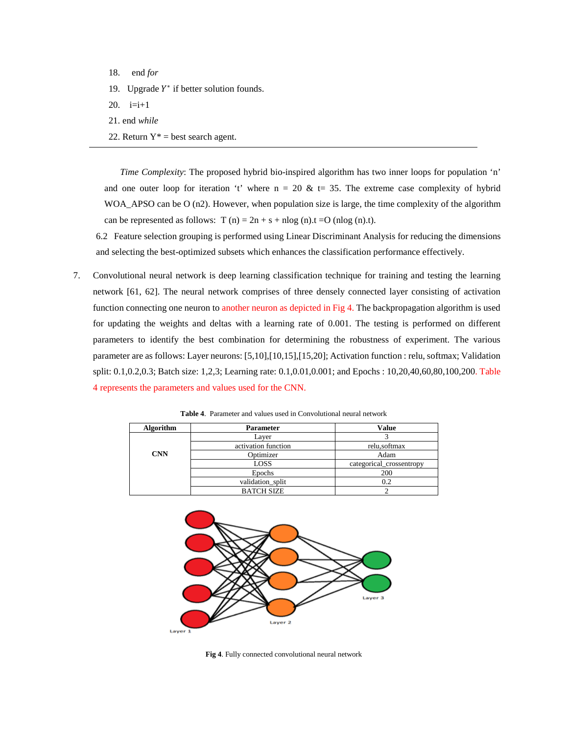- 18. end *for*
- 19. Upgrade  $Y^*$  if better solution founds.
- 20.  $i=i+1$
- 21. end *while*
- 22. Return  $Y^*$  = best search agent.

*Time Complexity*: The proposed hybrid bio-inspired algorithm has two inner loops for population 'n' and one outer loop for iteration 't' where  $n = 20 \& t = 35$ . The extreme case complexity of hybrid WOA\_APSO can be O (n2). However, when population size is large, the time complexity of the algorithm can be represented as follows:  $T(n) = 2n + s + n\log(n) \cdot t = O(n\log(n) \cdot t)$ .

6.2 Feature selection grouping is performed using Linear Discriminant Analysis for reducing the dimensions and selecting the best-optimized subsets which enhances the classification performance effectively.

7. Convolutional neural network is deep learning classification technique for training and testing the learning network [61, 62]. The neural network comprises of three densely connected layer consisting of activation function connecting one neuron to another neuron as depicted in Fig 4. The backpropagation algorithm is used for updating the weights and deltas with a learning rate of 0.001. The testing is performed on different parameters to identify the best combination for determining the robustness of experiment. The various parameter are as follows: Layer neurons: [5,10],[10,15],[15,20]; Activation function : relu, softmax; Validation split: 0.1,0.2,0.3; Batch size: 1,2,3; Learning rate: 0.1,0.01,0.001; and Epochs : 10,20,40,60,80,100,200. Table 4 represents the parameters and values used for the CNN.

| <b>Algorithm</b> | <b>Parameter</b>    | <b>Value</b>             |
|------------------|---------------------|--------------------------|
|                  | Layer               |                          |
|                  | activation function | relu, softmax            |
| <b>CNN</b>       | Optimizer           | Adam                     |
|                  | LOSS                | categorical_crossentropy |
|                  | Epochs              | 200                      |
|                  | validation_split    | 0.2                      |
|                  | <b>BATCH SIZE</b>   |                          |

**Table 4**. Parameter and values used in Convolutional neural network



**Fig 4**. Fully connected convolutional neural network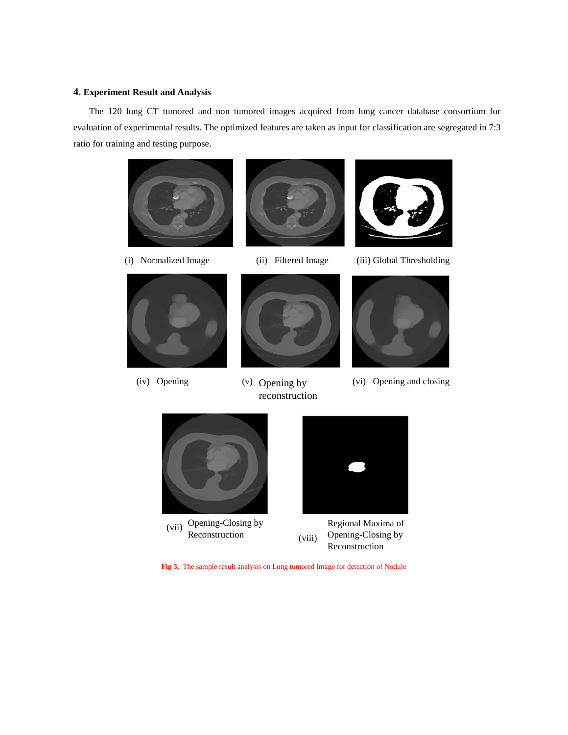# **4. Experiment Result and Analysis**

The 120 lung CT tumored and non tumored images acquired from lung cancer database consortium for evaluation of experimental results. The optimized features are taken as input for classification are segregated in 7:3 ratio for training and testing purpose.









 $(v)$  Opening by reconstruction



(i) Normalized Image (ii) Filtered Image (iii) Global Thresholding



(iv) Opening (v) Opening by (vi) Opening and closing





Regional Maxima of Opening-Closing by Reconstruction

**Fig 5.** The sample result analysis on Lung tumored Image for detection of Nodule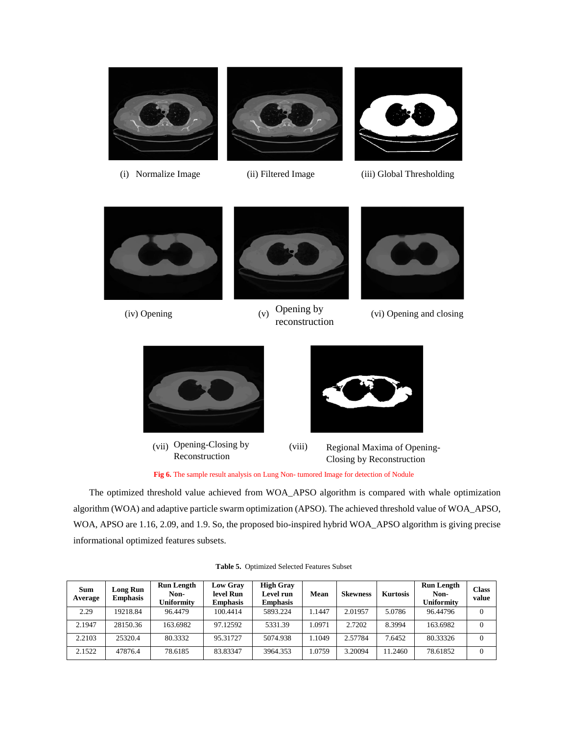

- 
- 



(i) Normalize Image (ii) Filtered Image (iii) Global Thresholding





Opening by reconstruction



(iv) Opening  $(v)$  Opening by  $(vi)$  Opening and closing



(vii) Opening-Closing by (viii) Reconstruction



Regional Maxima of Opening-Closing by Reconstruction

**Fig 6.** The sample result analysis on Lung Non- tumored Image for detection of Nodule

The optimized threshold value achieved from WOA\_APSO algorithm is compared with whale optimization algorithm (WOA) and adaptive particle swarm optimization (APSO). The achieved threshold value of WOA\_APSO, WOA, APSO are 1.16, 2.09, and 1.9. So, the proposed bio-inspired hybrid WOA\_APSO algorithm is giving precise informational optimized features subsets.

| <b>Sum</b><br>Average | <b>Long Run</b><br><b>Emphasis</b> | <b>Run Length</b><br>Non-<br>Uniformity | <b>Low Gray</b><br>level Run<br><b>Emphasis</b> | <b>High Gray</b><br>Level run<br><b>Emphasis</b> | Mean  | <b>Skewness</b> | <b>Kurtosis</b> | <b>Run Length</b><br>Non-<br>Uniformity | <b>Class</b><br>value |
|-----------------------|------------------------------------|-----------------------------------------|-------------------------------------------------|--------------------------------------------------|-------|-----------------|-----------------|-----------------------------------------|-----------------------|
| 2.29                  | 19218.84                           | 96.4479                                 | 100.4414                                        | 5893.224                                         | .1447 | 2.01957         | 5.0786          | 96.44796                                | $\Omega$              |
| 2.1947                | 28150.36                           | 163.6982                                | 97.12592                                        | 5331.39                                          | .0971 | 2.7202          | 8.3994          | 163.6982                                | $\Omega$              |
| 2.2103                | 25320.4                            | 80.3332                                 | 95.31727                                        | 5074.938                                         | .1049 | 2.57784         | 7.6452          | 80.33326                                | $\theta$              |
| 2.1522                | 47876.4                            | 78.6185                                 | 83.83347                                        | 3964.353                                         | .0759 | 3.20094         | 1.2460          | 78.61852                                | $\theta$              |

**Table 5.** Optimized Selected Features Subset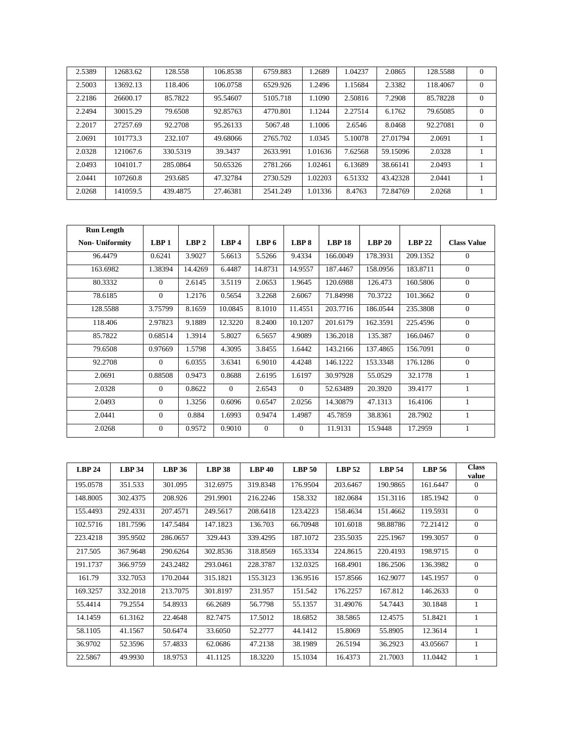| 2.5389 | 12683.62 | 128.558  | 106.8538 | 6759.883 | 1.2689  | 1.04237 | 2.0865   | 128.5588 | $\theta$ |
|--------|----------|----------|----------|----------|---------|---------|----------|----------|----------|
| 2.5003 | 13692.13 | 118.406  | 106.0758 | 6529.926 | 1.2496  | 1.15684 | 2.3382   | 118.4067 | $\Omega$ |
| 2.2186 | 26600.17 | 85.7822  | 95.54607 | 5105.718 | 1.1090  | 2.50816 | 7.2908   | 85.78228 | $\Omega$ |
| 2.2494 | 30015.29 | 79.6508  | 92.85763 | 4770.801 | 1.1244  | 2.27514 | 6.1762   | 79.65085 | $\theta$ |
| 2.2017 | 27257.69 | 92.2708  | 95.26133 | 5067.48  | 1.1006  | 2.6546  | 8.0468   | 92.27081 | $\Omega$ |
| 2.0691 | 101773.3 | 232.107  | 49.68066 | 2765.702 | 1.0345  | 5.10078 | 27.01794 | 2.0691   |          |
| 2.0328 | 121067.6 | 330.5319 | 39.3437  | 2633.991 | 1.01636 | 7.62568 | 59.15096 | 2.0328   |          |
| 2.0493 | 104101.7 | 285.0864 | 50.65326 | 2781.266 | 1.02461 | 6.13689 | 38.66141 | 2.0493   |          |
| 2.0441 | 107260.8 | 293.685  | 47.32784 | 2730.529 | 1.02203 | 6.51332 | 43.42328 | 2.0441   |          |
| 2.0268 | 141059.5 | 439.4875 | 27.46381 | 2541.249 | 1.01336 | 8.4763  | 72.84769 | 2.0268   |          |

| <b>Run Length</b>      |                  |                  |                |                  |                  |               |          |          |                    |
|------------------------|------------------|------------------|----------------|------------------|------------------|---------------|----------|----------|--------------------|
| <b>Non- Uniformity</b> | LBP <sub>1</sub> | LBP <sub>2</sub> | LBP4           | LBP <sub>6</sub> | LBP <sub>8</sub> | <b>LBP 18</b> | LBP 20   | $LBP$ 22 | <b>Class Value</b> |
| 96.4479                | 0.6241           | 3.9027           | 5.6613         | 5.5266           | 9.4334           | 166.0049      | 178.3931 | 209.1352 | $\mathbf{0}$       |
| 163.6982               | 1.38394          | 14.4269          | 6.4487         | 14.8731          | 14.9557          | 187.4467      | 158.0956 | 183.8711 | $\mathbf{0}$       |
| 80.3332                | $\mathbf{0}$     | 2.6145           | 3.5119         | 2.0653           | 1.9645           | 120.6988      | 126.473  | 160.5806 | $\mathbf{0}$       |
| 78.6185                | $\mathbf{0}$     | 1.2176           | 0.5654         | 3.2268           | 2.6067           | 71.84998      | 70.3722  | 101.3662 | $\mathbf{0}$       |
| 128.5588               | 3.75799          | 8.1659           | 10.0845        | 8.1010           | 11.4551          | 203.7716      | 186.0544 | 235.3808 | $\mathbf{0}$       |
| 118.406                | 2.97823          | 9.1889           | 12.3220        | 8.2400           | 10.1207          | 201.6179      | 162.3591 | 225.4596 | $\mathbf{0}$       |
| 85.7822                | 0.68514          | 1.3914           | 5.8027         | 6.5657           | 4.9089           | 136.2018      | 135.387  | 166.0467 | $\mathbf{0}$       |
| 79.6508                | 0.97669          | 1.5798           | 4.3095         | 3.8455           | 1.6442           | 143.2166      | 137.4865 | 156.7091 | $\Omega$           |
| 92.2708                | $\mathbf{0}$     | 6.0355           | 3.6341         | 6.9010           | 4.4248           | 146.1222      | 153.3348 | 176.1286 | $\mathbf{0}$       |
| 2.0691                 | 0.88508          | 0.9473           | 0.8688         | 2.6195           | 1.6197           | 30.97928      | 55.0529  | 32.1778  | 1                  |
| 2.0328                 | $\mathbf{0}$     | 0.8622           | $\overline{0}$ | 2.6543           | $\theta$         | 52.63489      | 20.3920  | 39.4177  | 1                  |
| 2.0493                 | $\Omega$         | 1.3256           | 0.6096         | 0.6547           | 2.0256           | 14.30879      | 47.1313  | 16.4106  |                    |
| 2.0441                 | $\mathbf{0}$     | 0.884            | 1.6993         | 0.9474           | 1.4987           | 45.7859       | 38.8361  | 28.7902  | 1                  |
| 2.0268                 | $\mathbf{0}$     | 0.9572           | 0.9010         | $\Omega$         | $\Omega$         | 11.9131       | 15.9448  | 17.2959  |                    |

| LBP <sub>24</sub> | <b>LBP 34</b> | <b>LBP 36</b> | $LBP$ 38 | <b>LBP 40</b> | LBP <sub>50</sub> | <b>LBP 52</b> | <b>LBP 54</b> | <b>LBP 56</b> | <b>Class</b><br>value |
|-------------------|---------------|---------------|----------|---------------|-------------------|---------------|---------------|---------------|-----------------------|
| 195.0578          | 351.533       | 301.095       | 312.6975 | 319.8348      | 176.9504          | 203.6467      | 190.9865      | 161.6447      | $\Omega$              |
| 148.8005          | 302.4375      | 208.926       | 291.9901 | 216.2246      | 158.332           | 182.0684      | 151.3116      | 185.1942      | $\theta$              |
| 155.4493          | 292.4331      | 207.4571      | 249.5617 | 208.6418      | 123.4223          | 158.4634      | 151.4662      | 119.5931      | $\theta$              |
| 102.5716          | 181.7596      | 147.5484      | 147.1823 | 136.703       | 66.70948          | 101.6018      | 98.88786      | 72.21412      | $\theta$              |
| 223.4218          | 395.9502      | 286.0657      | 329.443  | 339.4295      | 187.1072          | 235.5035      | 225.1967      | 199.3057      | $\theta$              |
| 217.505           | 367.9648      | 290.6264      | 302.8536 | 318.8569      | 165.3334          | 224.8615      | 220.4193      | 198.9715      | $\theta$              |
| 191.1737          | 366.9759      | 243.2482      | 293.0461 | 228.3787      | 132.0325          | 168.4901      | 186.2506      | 136.3982      | $\theta$              |
| 161.79            | 332.7053      | 170.2044      | 315.1821 | 155.3123      | 136.9516          | 157.8566      | 162.9077      | 145.1957      | $\theta$              |
| 169.3257          | 332.2018      | 213.7075      | 301.8197 | 231.957       | 151.542           | 176.2257      | 167.812       | 146.2633      | $\theta$              |
| 55.4414           | 79.2554       | 54.8933       | 66.2689  | 56.7798       | 55.1357           | 31.49076      | 54.7443       | 30.1848       |                       |
| 14.1459           | 61.3162       | 22.4648       | 82.7475  | 17.5012       | 18.6852           | 38.5865       | 12.4575       | 51.8421       | 1                     |
| 58.1105           | 41.1567       | 50.6474       | 33.6050  | 52.2777       | 44.1412           | 15.8069       | 55.8905       | 12.3614       | 1                     |
| 36.9702           | 52.3596       | 57.4833       | 62.0686  | 47.2138       | 38.1989           | 26.5194       | 36.2923       | 43.05667      |                       |
| 22.5867           | 49.9930       | 18.9753       | 41.1125  | 18.3220       | 15.1034           | 16.4373       | 21.7003       | 11.0442       | 1                     |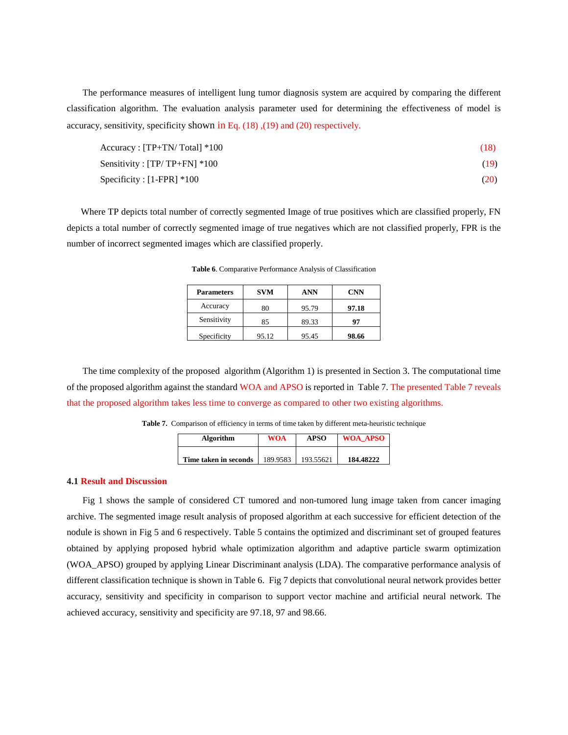The performance measures of intelligent lung tumor diagnosis system are acquired by comparing the different classification algorithm. The evaluation analysis parameter used for determining the effectiveness of model is accuracy, sensitivity, specificity shown in Eq. (18) ,(19) and (20) respectively.

| Accuracy : [TP+TN/Total] *100    | (18) |
|----------------------------------|------|
| Sensitivity : $[TP/TP+FN] * 100$ | (19) |
| $Specificity: [1-FPR] * 100$     | (20) |

 Where TP depicts total number of correctly segmented Image of true positives which are classified properly, FN depicts a total number of correctly segmented image of true negatives which are not classified properly, FPR is the number of incorrect segmented images which are classified properly.

| <b>Parameters</b> | <b>SVM</b> | ANN   | <b>CNN</b> |
|-------------------|------------|-------|------------|
| Accuracy          | 80         | 95.79 | 97.18      |
| Sensitivity       | 85         | 89.33 | 97         |
| Specificity       | 95.12      | 95.45 | 98.66      |

**Table 6**. Comparative Performance Analysis of Classification

The time complexity of the proposed algorithm (Algorithm 1) is presented in Section 3. The computational time of the proposed algorithm against the standard WOA and APSO is reported in Table 7. The presented Table 7 reveals that the proposed algorithm takes less time to converge as compared to other two existing algorithms.

**Table 7.** Comparison of efficiency in terms of time taken by different meta-heuristic technique

| <b>Algorithm</b>      | <b>WOA</b> | <b>APSO</b> | <b>WOA APSO</b> |
|-----------------------|------------|-------------|-----------------|
| Time taken in seconds | 189.9583   | 193.55621   | 184.48222       |

#### **4.1 Result and Discussion**

Fig 1 shows the sample of considered CT tumored and non-tumored lung image taken from cancer imaging archive. The segmented image result analysis of proposed algorithm at each successive for efficient detection of the nodule is shown in Fig 5 and 6 respectively. Table 5 contains the optimized and discriminant set of grouped features obtained by applying proposed hybrid whale optimization algorithm and adaptive particle swarm optimization (WOA\_APSO) grouped by applying Linear Discriminant analysis (LDA). The comparative performance analysis of different classification technique is shown in Table 6. Fig 7 depicts that convolutional neural network provides better accuracy, sensitivity and specificity in comparison to support vector machine and artificial neural network. The achieved accuracy, sensitivity and specificity are 97.18, 97 and 98.66.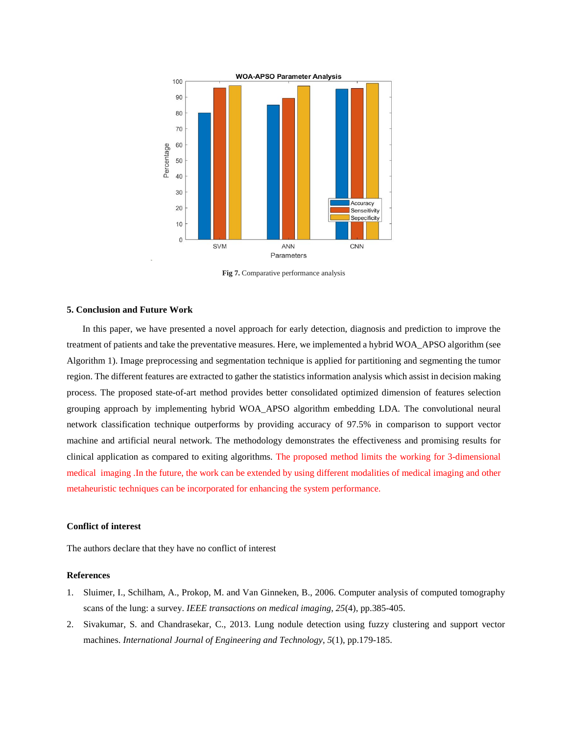

**Fig 7.** Comparative performance analysis

# **5. Conclusion and Future Work**

In this paper, we have presented a novel approach for early detection, diagnosis and prediction to improve the treatment of patients and take the preventative measures. Here, we implemented a hybrid WOA\_APSO algorithm (see Algorithm 1). Image preprocessing and segmentation technique is applied for partitioning and segmenting the tumor region. The different features are extracted to gather the statistics information analysis which assist in decision making process. The proposed state-of-art method provides better consolidated optimized dimension of features selection grouping approach by implementing hybrid WOA\_APSO algorithm embedding LDA. The convolutional neural network classification technique outperforms by providing accuracy of 97.5% in comparison to support vector machine and artificial neural network. The methodology demonstrates the effectiveness and promising results for clinical application as compared to exiting algorithms. The proposed method limits the working for 3-dimensional medical imaging .In the future, the work can be extended by using different modalities of medical imaging and other metaheuristic techniques can be incorporated for enhancing the system performance.

# **Conflict of interest**

The authors declare that they have no conflict of interest

### **References**

- 1. Sluimer, I., Schilham, A., Prokop, M. and Van Ginneken, B., 2006. Computer analysis of computed tomography scans of the lung: a survey. *IEEE transactions on medical imaging*, *25*(4), pp.385-405.
- 2. Sivakumar, S. and Chandrasekar, C., 2013. Lung nodule detection using fuzzy clustering and support vector machines. *International Journal of Engineering and Technology*, *5*(1), pp.179-185.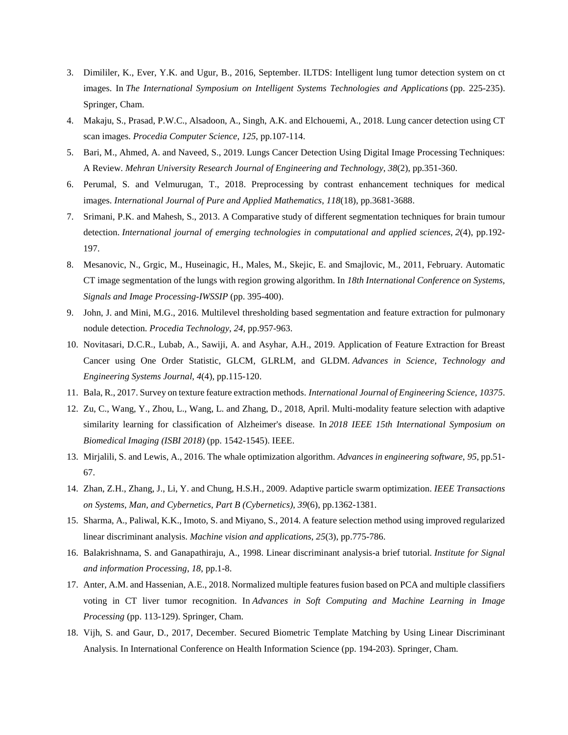- 3. Dimililer, K., Ever, Y.K. and Ugur, B., 2016, September. ILTDS: Intelligent lung tumor detection system on ct images. In *The International Symposium on Intelligent Systems Technologies and Applications* (pp. 225-235). Springer, Cham.
- 4. Makaju, S., Prasad, P.W.C., Alsadoon, A., Singh, A.K. and Elchouemi, A., 2018. Lung cancer detection using CT scan images. *Procedia Computer Science*, *125*, pp.107-114.
- 5. Bari, M., Ahmed, A. and Naveed, S., 2019. Lungs Cancer Detection Using Digital Image Processing Techniques: A Review. *Mehran University Research Journal of Engineering and Technology*, *38*(2), pp.351-360.
- 6. Perumal, S. and Velmurugan, T., 2018. Preprocessing by contrast enhancement techniques for medical images. *International Journal of Pure and Applied Mathematics*, *118*(18), pp.3681-3688.
- 7. Srimani, P.K. and Mahesh, S., 2013. A Comparative study of different segmentation techniques for brain tumour detection. *International journal of emerging technologies in computational and applied sciences*, *2*(4), pp.192- 197.
- 8. Mesanovic, N., Grgic, M., Huseinagic, H., Males, M., Skejic, E. and Smajlovic, M., 2011, February. Automatic CT image segmentation of the lungs with region growing algorithm. In *18th International Conference on Systems, Signals and Image Processing-IWSSIP* (pp. 395-400).
- 9. John, J. and Mini, M.G., 2016. Multilevel thresholding based segmentation and feature extraction for pulmonary nodule detection. *Procedia Technology*, *24*, pp.957-963.
- 10. Novitasari, D.C.R., Lubab, A., Sawiji, A. and Asyhar, A.H., 2019. Application of Feature Extraction for Breast Cancer using One Order Statistic, GLCM, GLRLM, and GLDM. *Advances in Science, Technology and Engineering Systems Journal*, *4*(4), pp.115-120.
- 11. Bala, R., 2017. Survey on texture feature extraction methods. *International Journal of Engineering Science*, *10375*.
- 12. Zu, C., Wang, Y., Zhou, L., Wang, L. and Zhang, D., 2018, April. Multi-modality feature selection with adaptive similarity learning for classification of Alzheimer's disease. In *2018 IEEE 15th International Symposium on Biomedical Imaging (ISBI 2018)* (pp. 1542-1545). IEEE.
- 13. Mirjalili, S. and Lewis, A., 2016. The whale optimization algorithm. *Advances in engineering software*, *95*, pp.51- 67.
- 14. Zhan, Z.H., Zhang, J., Li, Y. and Chung, H.S.H., 2009. Adaptive particle swarm optimization. *IEEE Transactions on Systems, Man, and Cybernetics, Part B (Cybernetics)*, *39*(6), pp.1362-1381.
- 15. Sharma, A., Paliwal, K.K., Imoto, S. and Miyano, S., 2014. A feature selection method using improved regularized linear discriminant analysis. *Machine vision and applications*, *25*(3), pp.775-786.
- 16. Balakrishnama, S. and Ganapathiraju, A., 1998. Linear discriminant analysis-a brief tutorial. *Institute for Signal and information Processing*, *18*, pp.1-8.
- 17. Anter, A.M. and Hassenian, A.E., 2018. Normalized multiple features fusion based on PCA and multiple classifiers voting in CT liver tumor recognition. In *Advances in Soft Computing and Machine Learning in Image Processing* (pp. 113-129). Springer, Cham.
- 18. Vijh, S. and Gaur, D., 2017, December. Secured Biometric Template Matching by Using Linear Discriminant Analysis. In International Conference on Health Information Science (pp. 194-203). Springer, Cham.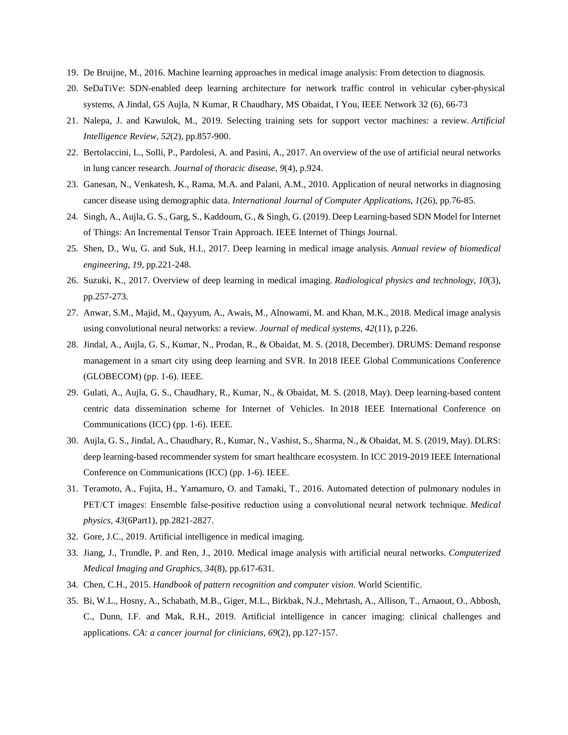- 19. De Bruijne, M., 2016. Machine learning approaches in medical image analysis: From detection to diagnosis.
- 20. SeDaTiVe: SDN-enabled deep learning architecture for network traffic control in vehicular cyber-physical systems, A Jindal, GS Aujla, N Kumar, R Chaudhary, MS Obaidat, I You, IEEE Network 32 (6), 66-73
- 21. Nalepa, J. and Kawulok, M., 2019. Selecting training sets for support vector machines: a review. *Artificial Intelligence Review*, *52*(2), pp.857-900.
- 22. Bertolaccini, L., Solli, P., Pardolesi, A. and Pasini, A., 2017. An overview of the use of artificial neural networks in lung cancer research. *Journal of thoracic disease*, *9*(4), p.924.
- 23. Ganesan, N., Venkatesh, K., Rama, M.A. and Palani, A.M., 2010. Application of neural networks in diagnosing cancer disease using demographic data. *International Journal of Computer Applications*, *1*(26), pp.76-85.
- 24. Singh, A., Aujla, G. S., Garg, S., Kaddoum, G., & Singh, G. (2019). Deep Learning-based SDN Model for Internet of Things: An Incremental Tensor Train Approach. IEEE Internet of Things Journal.
- 25. Shen, D., Wu, G. and Suk, H.I., 2017. Deep learning in medical image analysis. *Annual review of biomedical engineering*, *19*, pp.221-248.
- 26. Suzuki, K., 2017. Overview of deep learning in medical imaging. *Radiological physics and technology*, *10*(3), pp.257-273.
- 27. Anwar, S.M., Majid, M., Qayyum, A., Awais, M., Alnowami, M. and Khan, M.K., 2018. Medical image analysis using convolutional neural networks: a review. *Journal of medical systems*, *42*(11), p.226.
- 28. Jindal, A., Aujla, G. S., Kumar, N., Prodan, R., & Obaidat, M. S. (2018, December). DRUMS: Demand response management in a smart city using deep learning and SVR. In 2018 IEEE Global Communications Conference (GLOBECOM) (pp. 1-6). IEEE.
- 29. Gulati, A., Aujla, G. S., Chaudhary, R., Kumar, N., & Obaidat, M. S. (2018, May). Deep learning-based content centric data dissemination scheme for Internet of Vehicles. In 2018 IEEE International Conference on Communications (ICC) (pp. 1-6). IEEE.
- 30. Aujla, G. S., Jindal, A., Chaudhary, R., Kumar, N., Vashist, S., Sharma, N., & Obaidat, M. S. (2019, May). DLRS: deep learning-based recommender system for smart healthcare ecosystem. In ICC 2019-2019 IEEE International Conference on Communications (ICC) (pp. 1-6). IEEE.
- 31. Teramoto, A., Fujita, H., Yamamuro, O. and Tamaki, T., 2016. Automated detection of pulmonary nodules in PET/CT images: Ensemble false‐positive reduction using a convolutional neural network technique. *Medical physics*, *43*(6Part1), pp.2821-2827.
- 32. Gore, J.C., 2019. Artificial intelligence in medical imaging.
- 33. Jiang, J., Trundle, P. and Ren, J., 2010. Medical image analysis with artificial neural networks. *Computerized Medical Imaging and Graphics*, *34*(8), pp.617-631.
- 34. Chen, C.H., 2015. *Handbook of pattern recognition and computer vision*. World Scientific.
- 35. Bi, W.L., Hosny, A., Schabath, M.B., Giger, M.L., Birkbak, N.J., Mehrtash, A., Allison, T., Arnaout, O., Abbosh, C., Dunn, I.F. and Mak, R.H., 2019. Artificial intelligence in cancer imaging: clinical challenges and applications. *CA: a cancer journal for clinicians*, *69*(2), pp.127-157.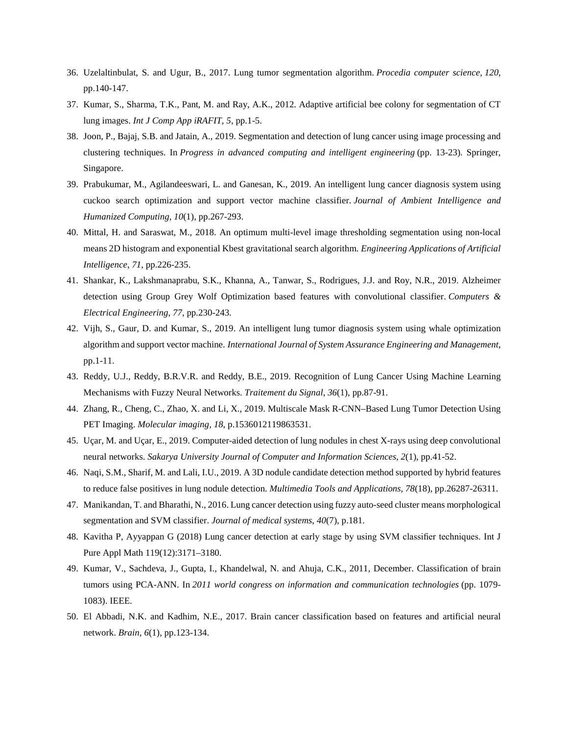- 36. Uzelaltinbulat, S. and Ugur, B., 2017. Lung tumor segmentation algorithm. *Procedia computer science*, *120*, pp.140-147.
- 37. Kumar, S., Sharma, T.K., Pant, M. and Ray, A.K., 2012. Adaptive artificial bee colony for segmentation of CT lung images. *Int J Comp App iRAFIT*, *5*, pp.1-5.
- 38. Joon, P., Bajaj, S.B. and Jatain, A., 2019. Segmentation and detection of lung cancer using image processing and clustering techniques. In *Progress in advanced computing and intelligent engineering* (pp. 13-23). Springer, Singapore.
- 39. Prabukumar, M., Agilandeeswari, L. and Ganesan, K., 2019. An intelligent lung cancer diagnosis system using cuckoo search optimization and support vector machine classifier. *Journal of Ambient Intelligence and Humanized Computing*, *10*(1), pp.267-293.
- 40. Mittal, H. and Saraswat, M., 2018. An optimum multi-level image thresholding segmentation using non-local means 2D histogram and exponential Kbest gravitational search algorithm. *Engineering Applications of Artificial Intelligence*, *71*, pp.226-235.
- 41. Shankar, K., Lakshmanaprabu, S.K., Khanna, A., Tanwar, S., Rodrigues, J.J. and Roy, N.R., 2019. Alzheimer detection using Group Grey Wolf Optimization based features with convolutional classifier. *Computers & Electrical Engineering*, *77*, pp.230-243.
- 42. Vijh, S., Gaur, D. and Kumar, S., 2019. An intelligent lung tumor diagnosis system using whale optimization algorithm and support vector machine. *International Journal of System Assurance Engineering and Management*, pp.1-11.
- 43. Reddy, U.J., Reddy, B.R.V.R. and Reddy, B.E., 2019. Recognition of Lung Cancer Using Machine Learning Mechanisms with Fuzzy Neural Networks. *Traitement du Signal*, *36*(1), pp.87-91.
- 44. Zhang, R., Cheng, C., Zhao, X. and Li, X., 2019. Multiscale Mask R-CNN–Based Lung Tumor Detection Using PET Imaging. *Molecular imaging*, *18*, p.1536012119863531.
- 45. Uçar, M. and Uçar, E., 2019. Computer-aided detection of lung nodules in chest X-rays using deep convolutional neural networks. *Sakarya University Journal of Computer and Information Sciences*, *2*(1), pp.41-52.
- 46. Naqi, S.M., Sharif, M. and Lali, I.U., 2019. A 3D nodule candidate detection method supported by hybrid features to reduce false positives in lung nodule detection. *Multimedia Tools and Applications*, *78*(18), pp.26287-26311.
- 47. Manikandan, T. and Bharathi, N., 2016. Lung cancer detection using fuzzy auto-seed cluster means morphological segmentation and SVM classifier. *Journal of medical systems*, *40*(7), p.181.
- 48. Kavitha P, Ayyappan G (2018) Lung cancer detection at early stage by using SVM classifier techniques. Int J Pure Appl Math 119(12):3171–3180.
- 49. Kumar, V., Sachdeva, J., Gupta, I., Khandelwal, N. and Ahuja, C.K., 2011, December. Classification of brain tumors using PCA-ANN. In *2011 world congress on information and communication technologies* (pp. 1079- 1083). IEEE.
- 50. El Abbadi, N.K. and Kadhim, N.E., 2017. Brain cancer classification based on features and artificial neural network. *Brain*, *6*(1), pp.123-134.